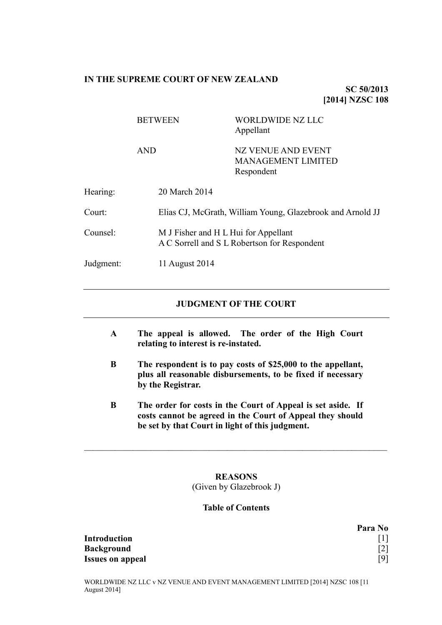#### **IN THE SUPREME COURT OF NEW ZEALAND**

**SC 50/2013 [2014] NZSC 108**

|           | <b>BETWEEN</b> | WORLDWIDE NZ LLC<br>Appellant                                                        |  |
|-----------|----------------|--------------------------------------------------------------------------------------|--|
|           | <b>AND</b>     | NZ VENUE AND EVENT<br><b>MANAGEMENT LIMITED</b><br>Respondent                        |  |
| Hearing:  | 20 March 2014  |                                                                                      |  |
| Court:    |                | Elias CJ, McGrath, William Young, Glazebrook and Arnold JJ                           |  |
| Counsel:  |                | M J Fisher and H L Hui for Appellant<br>A C Sorrell and S L Robertson for Respondent |  |
| Judgment: | 11 August 2014 |                                                                                      |  |

## **JUDGMENT OF THE COURT**

- **A The appeal is allowed. The order of the High Court relating to interest is re-instated.**
- **B The respondent is to pay costs of \$25,000 to the appellant, plus all reasonable disbursements, to be fixed if necessary by the Registrar.**
- **B The order for costs in the Court of Appeal is set aside. If costs cannot be agreed in the Court of Appeal they should be set by that Court in light of this judgment.**

# **REASONS** (Given by Glazebrook J)

 $\mathcal{L}_\text{max} = \mathcal{L}_\text{max} = \mathcal{L}_\text{max} = \mathcal{L}_\text{max} = \mathcal{L}_\text{max} = \mathcal{L}_\text{max} = \mathcal{L}_\text{max} = \mathcal{L}_\text{max} = \mathcal{L}_\text{max} = \mathcal{L}_\text{max} = \mathcal{L}_\text{max} = \mathcal{L}_\text{max} = \mathcal{L}_\text{max} = \mathcal{L}_\text{max} = \mathcal{L}_\text{max} = \mathcal{L}_\text{max} = \mathcal{L}_\text{max} = \mathcal{L}_\text{max} = \mathcal{$ 

#### **Table of Contents**

**Para No Introduction** [\[1\]](#page-1-0) **Background** [\[2\]](#page-1-1)

**Issues on appeal** [\[9\]](#page-3-0)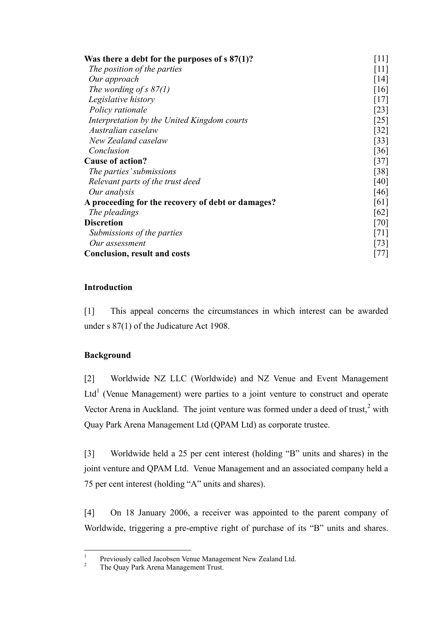| Was there a debt for the purposes of $s\,87(1)?$  | $[11]$                        |  |
|---------------------------------------------------|-------------------------------|--|
| The position of the parties                       | $[11]$                        |  |
| Our approach                                      | $\lceil 14 \rceil$            |  |
| The wording of s $87(1)$                          | [16]                          |  |
| Legislative history                               | [17]                          |  |
| Policy rationale                                  | $\lceil 23 \rceil$            |  |
| Interpretation by the United Kingdom courts       | $\left\lceil 25 \right\rceil$ |  |
| Australian caselaw                                | [32]                          |  |
| New Zealand caselaw                               | [33]                          |  |
| Conclusion                                        | [36]                          |  |
| <b>Cause of action?</b>                           | $[37]$                        |  |
| The parties' submissions                          | $\lceil 38 \rceil$            |  |
| Relevant parts of the trust deed                  | [40]                          |  |
| Our analysis                                      | [46]                          |  |
| A proceeding for the recovery of debt or damages? | [61]                          |  |
| The pleadings                                     | [62]                          |  |
| <b>Discretion</b>                                 | [70]                          |  |
| Submissions of the parties                        | [71]                          |  |
| Our assessment                                    | 73                            |  |
| <b>Conclusion, result and costs</b>               |                               |  |

# **Introduction**

<span id="page-1-0"></span>[1] This appeal concerns the circumstances in which interest can be awarded under s 87(1) of the Judicature Act 1908.

# **Background**

<span id="page-1-1"></span>[2] Worldwide NZ LLC (Worldwide) and NZ Venue and Event Management Ltd<sup>1</sup> (Venue Management) were parties to a joint venture to construct and operate Vector Arena in Auckland. The joint venture was formed under a deed of trust, $2$  with Quay Park Arena Management Ltd (QPAM Ltd) as corporate trustee.

[3] Worldwide held a 25 per cent interest (holding "B" units and shares) in the joint venture and QPAM Ltd. Venue Management and an associated company held a 75 per cent interest (holding "A" units and shares).

<span id="page-1-2"></span>[4] On 18 January 2006, a receiver was appointed to the parent company of Worldwide, triggering a pre-emptive right of purchase of its "B" units and shares.

 $\frac{1}{1}$ Previously called Jacobsen Venue Management New Zealand Ltd.

<sup>&</sup>lt;sup>2</sup> The Quay Park Arena Management Trust.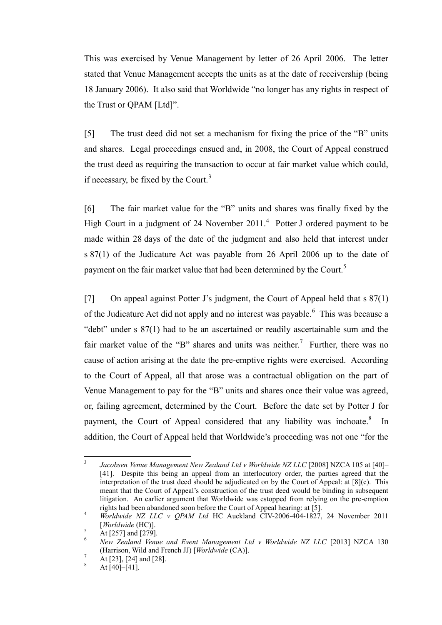This was exercised by Venue Management by letter of 26 April 2006. The letter stated that Venue Management accepts the units as at the date of receivership (being 18 January 2006). It also said that Worldwide "no longer has any rights in respect of the Trust or QPAM [Ltd]".

<span id="page-2-3"></span>[5] The trust deed did not set a mechanism for fixing the price of the "B" units and shares. Legal proceedings ensued and, in 2008, the Court of Appeal construed the trust deed as requiring the transaction to occur at fair market value which could, if necessary, be fixed by the Court. $3$ 

<span id="page-2-2"></span><span id="page-2-1"></span>[6] The fair market value for the "B" units and shares was finally fixed by the High Court in a judgment of 24 November  $2011<sup>4</sup>$  Potter J ordered payment to be made within 28 days of the date of the judgment and also held that interest under s 87(1) of the Judicature Act was payable from 26 April 2006 up to the date of payment on the fair market value that had been determined by the Court.<sup>5</sup>

<span id="page-2-0"></span>[7] On appeal against Potter J's judgment, the Court of Appeal held that s 87(1) of the Judicature Act did not apply and no interest was payable.<sup>6</sup> This was because a "debt" under s 87(1) had to be an ascertained or readily ascertainable sum and the fair market value of the "B" shares and units was neither.<sup>7</sup> Further, there was no cause of action arising at the date the pre-emptive rights were exercised. According to the Court of Appeal, all that arose was a contractual obligation on the part of Venue Management to pay for the "B" units and shares once their value was agreed, or, failing agreement, determined by the Court. Before the date set by Potter J for payment, the Court of Appeal considered that any liability was inchoate.<sup>8</sup> In addition, the Court of Appeal held that Worldwide's proceeding was not one "for the

 $\frac{1}{3}$ *Jacobsen Venue Management New Zealand Ltd v Worldwide NZ LLC* [2008] NZCA 105 at [40]– [41]. Despite this being an appeal from an interlocutory order, the parties agreed that the interpretation of the trust deed should be adjudicated on by the Court of Appeal: at [8](c). This meant that the Court of Appeal's construction of the trust deed would be binding in subsequent litigation. An earlier argument that Worldwide was estopped from relying on the pre-emption rights had been abandoned soon before the Court of Appeal hearing: at [5].

<sup>4</sup> *Worldwide NZ LLC v QPAM Ltd* HC Auckland CIV-2006-404-1827, 24 November 2011 [*Worldwide* (HC)].

 $\frac{5}{6}$  At [257] and [279].

<sup>6</sup> *New Zealand Venue and Event Management Ltd v Worldwide NZ LLC* [2013] NZCA 130 (Harrison, Wild and French JJ) [*Worldwide* (CA)].

 $^7$  At [23], [24] and [28].

At  $[40]$ – $[41]$ .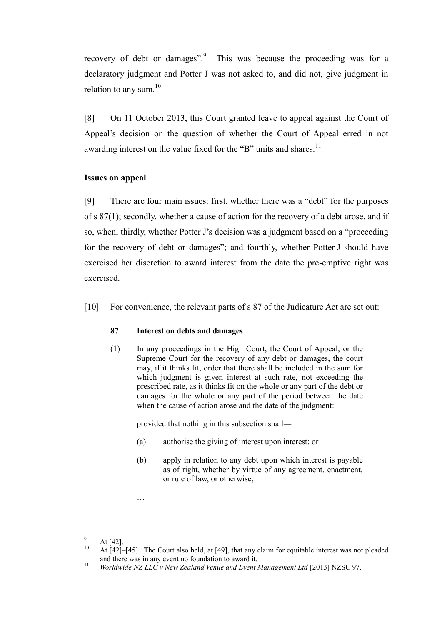recovery of debt or damages". This was because the proceeding was for a declaratory judgment and Potter J was not asked to, and did not, give judgment in relation to any sum. $10$ 

[8] On 11 October 2013, this Court granted leave to appeal against the Court of Appeal's decision on the question of whether the Court of Appeal erred in not awarding interest on the value fixed for the "B" units and shares.<sup>11</sup>

## **Issues on appeal**

<span id="page-3-0"></span>[9] There are four main issues: first, whether there was a "debt" for the purposes of s 87(1); secondly, whether a cause of action for the recovery of a debt arose, and if so, when; thirdly, whether Potter J's decision was a judgment based on a "proceeding for the recovery of debt or damages"; and fourthly, whether Potter J should have exercised her discretion to award interest from the date the pre-emptive right was exercised.

[10] For convenience, the relevant parts of s 87 of the Judicature Act are set out:

## **87 Interest on debts and damages**

(1) In any proceedings in the High Court, the Court of Appeal, or the Supreme Court for the recovery of any debt or damages, the court may, if it thinks fit, order that there shall be included in the sum for which judgment is given interest at such rate, not exceeding the prescribed rate, as it thinks fit on the whole or any part of the debt or damages for the whole or any part of the period between the date when the cause of action arose and the date of the judgment:

provided that nothing in this subsection shall―

- (a) authorise the giving of interest upon interest; or
- (b) apply in relation to any debt upon which interest is payable as of right, whether by virtue of any agreement, enactment, or rule of law, or otherwise;

 $\overline{a}$ 

…

 $\frac{9}{10}$  At [42].

<sup>10</sup> At [42]–[45]. The Court also held, at [49], that any claim for equitable interest was not pleaded and there was in any event no foundation to award it.

<sup>11</sup> *Worldwide NZ LLC v New Zealand Venue and Event Management Ltd* [2013] NZSC 97.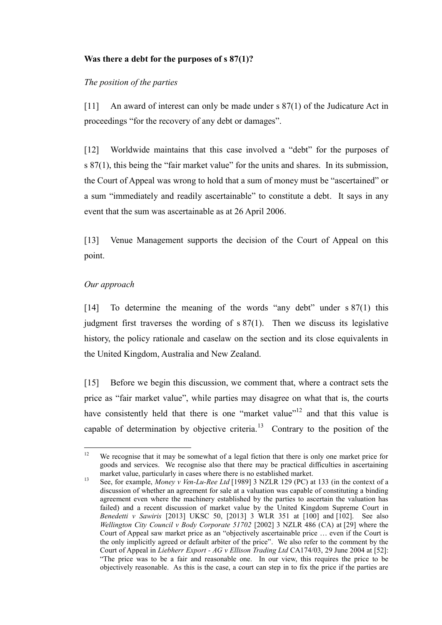# **Was there a debt for the purposes of s 87(1)?**

# *The position of the parties*

<span id="page-4-0"></span>[11] An award of interest can only be made under s 87(1) of the Judicature Act in proceedings "for the recovery of any debt or damages".

[12] Worldwide maintains that this case involved a "debt" for the purposes of s 87(1), this being the "fair market value" for the units and shares. In its submission, the Court of Appeal was wrong to hold that a sum of money must be "ascertained" or a sum "immediately and readily ascertainable" to constitute a debt. It says in any event that the sum was ascertainable as at 26 April 2006.

[13] Venue Management supports the decision of the Court of Appeal on this point.

# *Our approach*

<span id="page-4-1"></span>[14] To determine the meaning of the words "any debt" under s 87(1) this judgment first traverses the wording of s 87(1). Then we discuss its legislative history, the policy rationale and caselaw on the section and its close equivalents in the United Kingdom, Australia and New Zealand.

<span id="page-4-2"></span>[15] Before we begin this discussion, we comment that, where a contract sets the price as "fair market value", while parties may disagree on what that is, the courts have consistently held that there is one "market value"<sup>12</sup> and that this value is capable of determination by objective criteria.<sup>13</sup> Contrary to the position of the

 $12$ We recognise that it may be somewhat of a legal fiction that there is only one market price for goods and services. We recognise also that there may be practical difficulties in ascertaining market value, particularly in cases where there is no established market.

<sup>13</sup> See, for example, *Money v Ven-Lu-Ree Ltd* [1989] 3 NZLR 129 (PC) at 133 (in the context of a discussion of whether an agreement for sale at a valuation was capable of constituting a binding agreement even where the machinery established by the parties to ascertain the valuation has failed) and a recent discussion of market value by the United Kingdom Supreme Court in *Benedetti v Sawiris* [2013] UKSC 50, [2013] 3 WLR 351 at [100] and [102]. See also *Wellington City Council v Body Corporate 51702* [2002] 3 NZLR 486 (CA) at [29] where the Court of Appeal saw market price as an "objectively ascertainable price … even if the Court is the only implicitly agreed or default arbiter of the price". We also refer to the comment by the Court of Appeal in *Liebherr Export - AG v Ellison Trading Ltd* CA174/03, 29 June 2004 at [52]: "The price was to be a fair and reasonable one. In our view, this requires the price to be objectively reasonable. As this is the case, a court can step in to fix the price if the parties are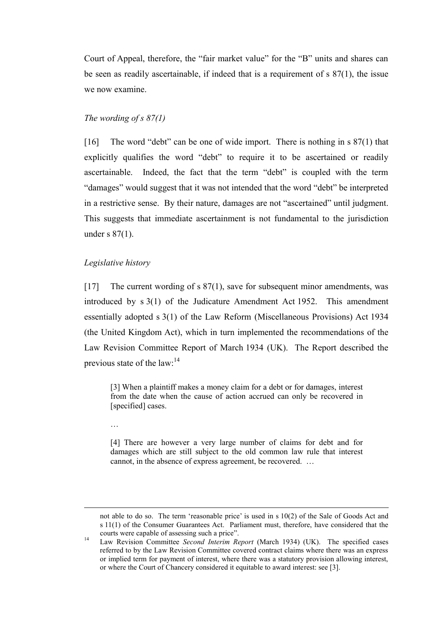Court of Appeal, therefore, the "fair market value" for the "B" units and shares can be seen as readily ascertainable, if indeed that is a requirement of s 87(1), the issue we now examine.

#### *The wording of s 87(1)*

<span id="page-5-0"></span>[16] The word "debt" can be one of wide import. There is nothing in s 87(1) that explicitly qualifies the word "debt" to require it to be ascertained or readily ascertainable. Indeed, the fact that the term "debt" is coupled with the term "damages" would suggest that it was not intended that the word "debt" be interpreted in a restrictive sense. By their nature, damages are not "ascertained" until judgment. This suggests that immediate ascertainment is not fundamental to the jurisdiction under s 87(1).

#### *Legislative history*

<span id="page-5-1"></span>[17] The current wording of s 87(1), save for subsequent minor amendments, was introduced by s 3(1) of the Judicature Amendment Act 1952. This amendment essentially adopted s 3(1) of the Law Reform (Miscellaneous Provisions) Act 1934 (the United Kingdom Act), which in turn implemented the recommendations of the Law Revision Committee Report of March 1934 (UK). The Report described the previous state of the  $law:$ <sup>14</sup>

<span id="page-5-2"></span>[3] When a plaintiff makes a money claim for a debt or for damages, interest from the date when the cause of action accrued can only be recovered in [specified] cases.

…

 $\overline{a}$ 

[4] There are however a very large number of claims for debt and for damages which are still subject to the old common law rule that interest cannot, in the absence of express agreement, be recovered. …

not able to do so. The term 'reasonable price' is used in s 10(2) of the Sale of Goods Act and s 11(1) of the Consumer Guarantees Act. Parliament must, therefore, have considered that the courts were capable of assessing such a price".

<sup>14</sup> Law Revision Committee *Second Interim Report* (March 1934) (UK). The specified cases referred to by the Law Revision Committee covered contract claims where there was an express or implied term for payment of interest, where there was a statutory provision allowing interest, or where the Court of Chancery considered it equitable to award interest: see [3].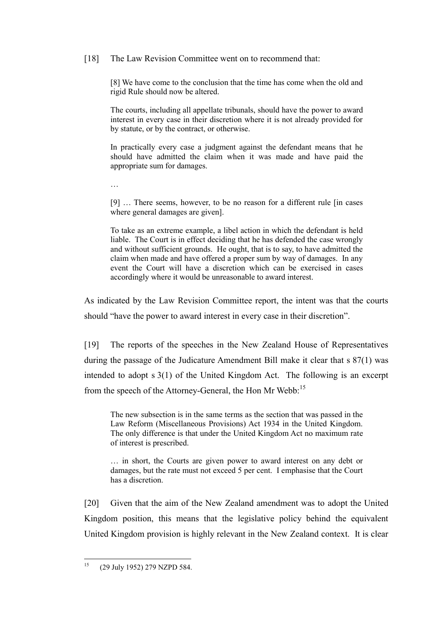### [18] The Law Revision Committee went on to recommend that:

[8] We have come to the conclusion that the time has come when the old and rigid Rule should now be altered.

The courts, including all appellate tribunals, should have the power to award interest in every case in their discretion where it is not already provided for by statute, or by the contract, or otherwise.

In practically every case a judgment against the defendant means that he should have admitted the claim when it was made and have paid the appropriate sum for damages.

…

[9] … There seems, however, to be no reason for a different rule [in cases where general damages are given].

To take as an extreme example, a libel action in which the defendant is held liable. The Court is in effect deciding that he has defended the case wrongly and without sufficient grounds. He ought, that is to say, to have admitted the claim when made and have offered a proper sum by way of damages. In any event the Court will have a discretion which can be exercised in cases accordingly where it would be unreasonable to award interest.

As indicated by the Law Revision Committee report, the intent was that the courts should "have the power to award interest in every case in their discretion".

[19] The reports of the speeches in the New Zealand House of Representatives during the passage of the Judicature Amendment Bill make it clear that s 87(1) was intended to adopt s 3(1) of the United Kingdom Act. The following is an excerpt from the speech of the Attorney-General, the Hon Mr Webb:<sup>15</sup>

The new subsection is in the same terms as the section that was passed in the Law Reform (Miscellaneous Provisions) Act 1934 in the United Kingdom. The only difference is that under the United Kingdom Act no maximum rate of interest is prescribed.

… in short, the Courts are given power to award interest on any debt or damages, but the rate must not exceed 5 per cent. I emphasise that the Court has a discretion.

[20] Given that the aim of the New Zealand amendment was to adopt the United Kingdom position, this means that the legislative policy behind the equivalent United Kingdom provision is highly relevant in the New Zealand context. It is clear

<sup>15</sup> <sup>15</sup> (29 July 1952) 279 NZPD 584.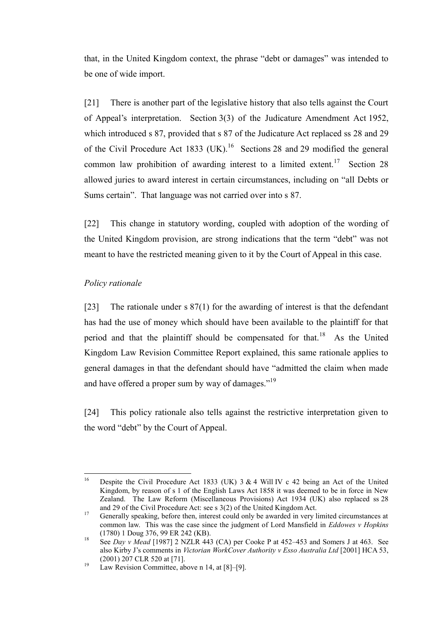that, in the United Kingdom context, the phrase "debt or damages" was intended to be one of wide import.

[21] There is another part of the legislative history that also tells against the Court of Appeal's interpretation. Section 3(3) of the Judicature Amendment Act 1952, which introduced s 87, provided that s 87 of the Judicature Act replaced ss 28 and 29 of the Civil Procedure Act 1833 (UK).<sup>16</sup> Sections 28 and 29 modified the general common law prohibition of awarding interest to a limited extent.<sup>17</sup> Section 28 allowed juries to award interest in certain circumstances, including on "all Debts or Sums certain". That language was not carried over into s 87.

[22] This change in statutory wording, coupled with adoption of the wording of the United Kingdom provision, are strong indications that the term "debt" was not meant to have the restricted meaning given to it by the Court of Appeal in this case.

# *Policy rationale*

 $\overline{a}$ 

<span id="page-7-1"></span><span id="page-7-0"></span>[23] The rationale under s 87(1) for the awarding of interest is that the defendant has had the use of money which should have been available to the plaintiff for that period and that the plaintiff should be compensated for that.<sup>18</sup> As the United Kingdom Law Revision Committee Report explained, this same rationale applies to general damages in that the defendant should have "admitted the claim when made and have offered a proper sum by way of damages."<sup>19</sup>

[24] This policy rationale also tells against the restrictive interpretation given to the word "debt" by the Court of Appeal.

Despite the Civil Procedure Act 1833 (UK)  $3 \& 4$  Will IV c 42 being an Act of the United Kingdom, by reason of s 1 of the English Laws Act 1858 it was deemed to be in force in New Zealand. The Law Reform (Miscellaneous Provisions) Act 1934 (UK) also replaced ss 28 and 29 of the Civil Procedure Act: see s 3(2) of the United Kingdom Act.

<sup>&</sup>lt;sup>17</sup> Generally speaking, before then, interest could only be awarded in very limited circumstances at common law. This was the case since the judgment of Lord Mansfield in *Eddowes v Hopkins* (1780) 1 Doug 376, 99 ER 242 (KB).

<sup>18</sup> See *Day v Mead* [1987] 2 NZLR 443 (CA) per Cooke P at 452–453 and Somers J at 463. See also Kirby J's comments in *Victorian WorkCover Authority v Esso Australia Ltd* [2001] HCA 53, (2001) 207 CLR 520 at [71].

 $19$  Law Revision Committee, above n [14,](#page-5-2) at [8]–[9].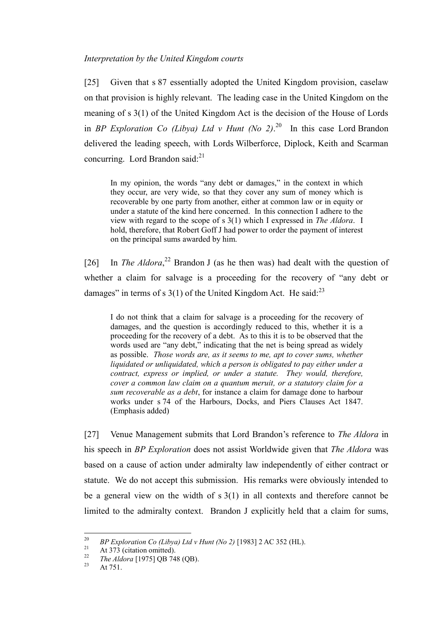*Interpretation by the United Kingdom courts*

<span id="page-8-0"></span>[25] Given that s 87 essentially adopted the United Kingdom provision, caselaw on that provision is highly relevant. The leading case in the United Kingdom on the meaning of s 3(1) of the United Kingdom Act is the decision of the House of Lords in *BP Exploration Co (Libya) Ltd v Hunt (No 2)*.<sup>20</sup> In this case Lord Brandon delivered the leading speech, with Lords Wilberforce, Diplock, Keith and Scarman concurring. Lord Brandon said: $^{21}$ 

In my opinion, the words "any debt or damages," in the context in which they occur, are very wide, so that they cover any sum of money which is recoverable by one party from another, either at common law or in equity or under a statute of the kind here concerned. In this connection I adhere to the view with regard to the scope of s 3(1) which I expressed in *The Aldora*. I hold, therefore, that Robert Goff J had power to order the payment of interest on the principal sums awarded by him.

<span id="page-8-1"></span>[26] In *The Aldora*<sup>22</sup> Brandon J (as he then was) had dealt with the question of whether a claim for salvage is a proceeding for the recovery of "any debt or damages" in terms of s  $3(1)$  of the United Kingdom Act. He said:<sup>23</sup>

I do not think that a claim for salvage is a proceeding for the recovery of damages, and the question is accordingly reduced to this, whether it is a proceeding for the recovery of a debt. As to this it is to be observed that the words used are "any debt," indicating that the net is being spread as widely as possible. *Those words are, as it seems to me, apt to cover sums, whether liquidated or unliquidated, which a person is obligated to pay either under a contract, express or implied, or under a statute. They would, therefore, cover a common law claim on a quantum meruit, or a statutory claim for a sum recoverable as a debt*, for instance a claim for damage done to harbour works under s 74 of the Harbours, Docks, and Piers Clauses Act 1847. (Emphasis added)

[27] Venue Management submits that Lord Brandon's reference to *The Aldora* in his speech in *BP Exploration* does not assist Worldwide given that *The Aldora* was based on a cause of action under admiralty law independently of either contract or statute. We do not accept this submission. His remarks were obviously intended to be a general view on the width of s 3(1) in all contexts and therefore cannot be limited to the admiralty context. Brandon J explicitly held that a claim for sums,

 $20\,$ <sup>20</sup> *BP Exploration Co (Libya) Ltd v Hunt (No 2)* [1983] 2 AC 352 (HL).

<sup>&</sup>lt;sup>21</sup> At 373 (citation omitted).<br><sup>22</sup> The 414ses 510751 OD 74

<sup>&</sup>lt;sup>22</sup> *The Aldora* [1975] QB 748 (QB).

At 751.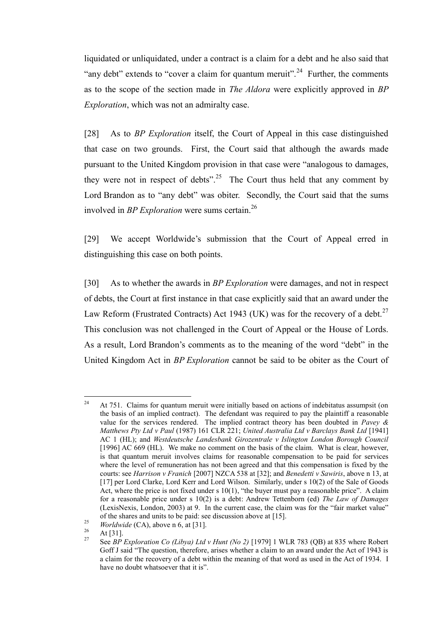liquidated or unliquidated, under a contract is a claim for a debt and he also said that "any debt" extends to "cover a claim for quantum meruit".<sup>24</sup> Further, the comments as to the scope of the section made in *The Aldora* were explicitly approved in *BP Exploration*, which was not an admiralty case.

[28] As to *BP Exploration* itself, the Court of Appeal in this case distinguished that case on two grounds. First, the Court said that although the awards made pursuant to the United Kingdom provision in that case were "analogous to damages, they were not in respect of debts".<sup>25</sup> The Court thus held that any comment by Lord Brandon as to "any debt" was obiter. Secondly, the Court said that the sums involved in *BP Exploration* were sums certain.<sup>26</sup>

[29] We accept Worldwide's submission that the Court of Appeal erred in distinguishing this case on both points.

<span id="page-9-0"></span>[30] As to whether the awards in *BP Exploration* were damages, and not in respect of debts, the Court at first instance in that case explicitly said that an award under the Law Reform (Frustrated Contracts) Act 1943 (UK) was for the recovery of a debt.<sup>27</sup> This conclusion was not challenged in the Court of Appeal or the House of Lords. As a result, Lord Brandon's comments as to the meaning of the word "debt" in the United Kingdom Act in *BP Exploration* cannot be said to be obiter as the Court of

 $24$ <sup>24</sup> At 751. Claims for quantum meruit were initially based on actions of indebitatus assumpsit (on the basis of an implied contract). The defendant was required to pay the plaintiff a reasonable value for the services rendered. The implied contract theory has been doubted in *Pavey & Matthews Pty Ltd v Paul* (1987) 161 CLR 221; *United Australia Ltd v Barclays Bank Ltd* [1941] AC 1 (HL); and *Westdeutsche Landesbank Girozentrale v Islington London Borough Council*  [1996] AC 669 (HL). We make no comment on the basis of the claim. What is clear, however, is that quantum meruit involves claims for reasonable compensation to be paid for services where the level of remuneration has not been agreed and that this compensation is fixed by the courts: see *Harrison v Franich* [2007] NZCA 538 at [32]; and *Benedetti v Sawiris*, above n 13, at [17] per Lord Clarke, Lord Kerr and Lord Wilson. Similarly, under s 10(2) of the Sale of Goods Act, where the price is not fixed under s 10(1), "the buyer must pay a reasonable price". A claim for a reasonable price under s 10(2) is a debt: Andrew Tettenborn (ed) *The Law of Damages* (LexisNexis, London, 2003) at 9. In the current case, the claim was for the "fair market value" of the shares and units to be paid: see discussion above at [15].

<sup>&</sup>lt;sup>25</sup> *Worldwide* (CA), above n [6,](#page-2-0) at [31].

 $\frac{26}{27}$  At [31].

<sup>27</sup> See *BP Exploration Co (Libya) Ltd v Hunt (No 2)* [1979] 1 WLR 783 (QB) at 835 where Robert Goff J said "The question, therefore, arises whether a claim to an award under the Act of 1943 is a claim for the recovery of a debt within the meaning of that word as used in the Act of 1934. I have no doubt whatsoever that it is".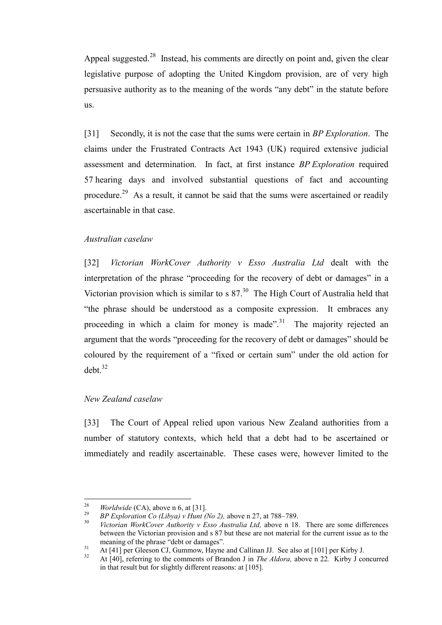Appeal suggested.<sup>28</sup> Instead, his comments are directly on point and, given the clear legislative purpose of adopting the United Kingdom provision, are of very high persuasive authority as to the meaning of the words "any debt" in the statute before us.

[31] Secondly, it is not the case that the sums were certain in *BP Exploration*. The claims under the Frustrated Contracts Act 1943 (UK) required extensive judicial assessment and determination. In fact, at first instance *BP Exploration* required 57 hearing days and involved substantial questions of fact and accounting procedure.<sup>29</sup> As a result, it cannot be said that the sums were ascertained or readily ascertainable in that case.

#### *Australian caselaw*

<span id="page-10-0"></span>[32] *Victorian WorkCover Authority v Esso Australia Ltd* dealt with the interpretation of the phrase "proceeding for the recovery of debt or damages" in a Victorian provision which is similar to s  $87<sup>30</sup>$ . The High Court of Australia held that "the phrase should be understood as a composite expression. It embraces any proceeding in which a claim for money is made".<sup>31</sup> The majority rejected an argument that the words "proceeding for the recovery of debt or damages" should be coloured by the requirement of a "fixed or certain sum" under the old action for  $debt.<sup>32</sup>$ 

#### *New Zealand caselaw*

<span id="page-10-1"></span>[33] The Court of Appeal relied upon various New Zealand authorities from a number of statutory contexts, which held that a debt had to be ascertained or immediately and readily ascertainable. These cases were, however limited to the

<sup>28</sup> <sup>28</sup> *Worldwide* (CA), above n [6,](#page-2-0) at [31].

<sup>&</sup>lt;sup>29</sup> *BP Exploration Co (Libya) v Hunt (No 2),* above [n 27,](#page-9-0) at 788–789.

<sup>30</sup> *Victorian WorkCover Authority v Esso Australia Ltd,* above n [18.](#page-7-1) There are some differences between the Victorian provision and s 87 but these are not material for the current issue as to the meaning of the phrase "debt or damages".

 $\frac{31}{2}$  At [41] per Gleeson CJ, Gummow, Hayne and Callinan JJ. See also at [101] per Kirby J.

<sup>32</sup> At [40], referring to the comments of Brandon J in *The Aldora,* above n [22](#page-8-1)*.* Kirby J concurred in that result but for slightly different reasons: at [105].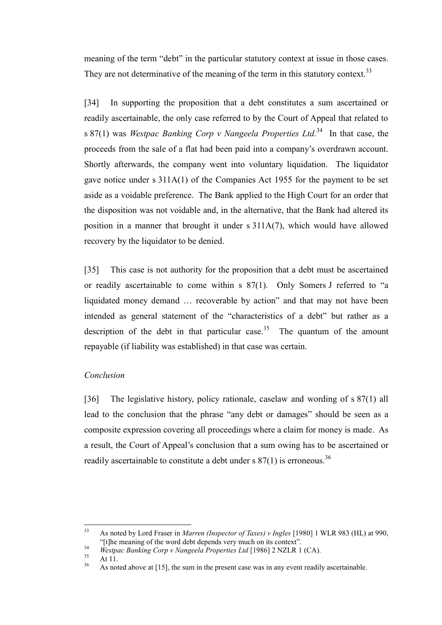meaning of the term "debt" in the particular statutory context at issue in those cases. They are not determinative of the meaning of the term in this statutory context.<sup>33</sup>

<span id="page-11-1"></span>[34] In supporting the proposition that a debt constitutes a sum ascertained or readily ascertainable, the only case referred to by the Court of Appeal that related to s 87(1) was *Westpac Banking Corp v Nangeela Properties Ltd.*<sup>34</sup> In that case, the proceeds from the sale of a flat had been paid into a company's overdrawn account. Shortly afterwards, the company went into voluntary liquidation. The liquidator gave notice under s 311A(1) of the Companies Act 1955 for the payment to be set aside as a voidable preference. The Bank applied to the High Court for an order that the disposition was not voidable and, in the alternative, that the Bank had altered its position in a manner that brought it under s 311A(7), which would have allowed recovery by the liquidator to be denied.

[35] This case is not authority for the proposition that a debt must be ascertained or readily ascertainable to come within s 87(1). Only Somers J referred to "a liquidated money demand … recoverable by action" and that may not have been intended as general statement of the "characteristics of a debt" but rather as a description of the debt in that particular case.<sup>35</sup> The quantum of the amount repayable (if liability was established) in that case was certain.

#### *Conclusion*

<span id="page-11-0"></span>[36] The legislative history, policy rationale, caselaw and wording of s 87(1) all lead to the conclusion that the phrase "any debt or damages" should be seen as a composite expression covering all proceedings where a claim for money is made. As a result, the Court of Appeal's conclusion that a sum owing has to be ascertained or readily ascertainable to constitute a debt under s  $87(1)$  is erroneous.<sup>36</sup>

 $33$ <sup>33</sup> As noted by Lord Fraser in *Marren (Inspector of Taxes) v Ingles* [1980] 1 WLR 983 (HL) at 990, "[t]he meaning of the word debt depends very much on its context".

<sup>&</sup>lt;sup>34</sup> *Westpac Banking Corp v Nangeela Properties Ltd* [1986] 2 NZLR 1 (CA).

 $\frac{35}{36}$  At 11.

As noted above at [\[15\],](#page-4-2) the sum in the present case was in any event readily ascertainable.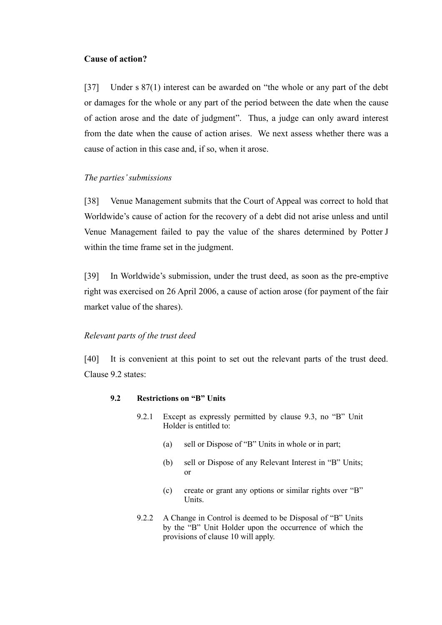## **Cause of action?**

<span id="page-12-0"></span>[37] Under s 87(1) interest can be awarded on "the whole or any part of the debt or damages for the whole or any part of the period between the date when the cause of action arose and the date of judgment". Thus, a judge can only award interest from the date when the cause of action arises. We next assess whether there was a cause of action in this case and, if so, when it arose.

# *The parties' submissions*

<span id="page-12-1"></span>[38] Venue Management submits that the Court of Appeal was correct to hold that Worldwide's cause of action for the recovery of a debt did not arise unless and until Venue Management failed to pay the value of the shares determined by Potter J within the time frame set in the judgment.

[39] In Worldwide's submission, under the trust deed, as soon as the pre-emptive right was exercised on 26 April 2006, a cause of action arose (for payment of the fair market value of the shares).

## *Relevant parts of the trust deed*

<span id="page-12-2"></span>[40] It is convenient at this point to set out the relevant parts of the trust deed. Clause 9.2 states:

## **9.2 Restrictions on "B" Units**

- 9.2.1 Except as expressly permitted by clause 9.3, no "B" Unit Holder is entitled to:
	- (a) sell or Dispose of "B" Units in whole or in part;
	- (b) sell or Dispose of any Relevant Interest in "B" Units; or
	- (c) create or grant any options or similar rights over "B" Units.
- 9.2.2 A Change in Control is deemed to be Disposal of "B" Units by the "B" Unit Holder upon the occurrence of which the provisions of clause 10 will apply.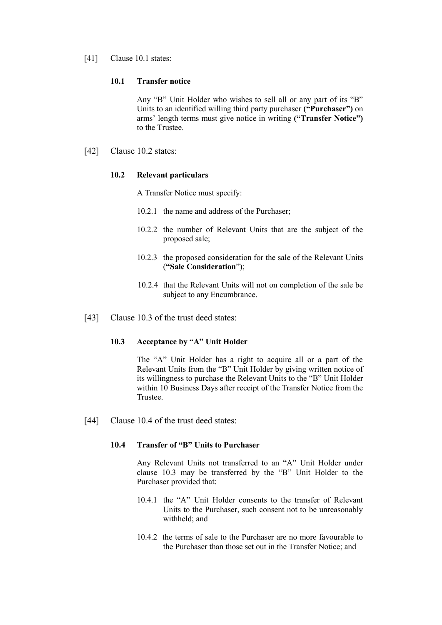[41] Clause 10.1 states:

#### **10.1 Transfer notice**

Any "B" Unit Holder who wishes to sell all or any part of its "B" Units to an identified willing third party purchaser **("Purchaser")** on arms' length terms must give notice in writing **("Transfer Notice")**  to the Trustee.

[42] Clause 10.2 states:

#### **10.2 Relevant particulars**

A Transfer Notice must specify:

- 10.2.1 the name and address of the Purchaser;
- 10.2.2 the number of Relevant Units that are the subject of the proposed sale;
- 10.2.3 the proposed consideration for the sale of the Relevant Units (**"Sale Consideration**");
- 10.2.4 that the Relevant Units will not on completion of the sale be subject to any Encumbrance.
- [43] Clause 10.3 of the trust deed states:

# **10.3 Acceptance by "A" Unit Holder**

The "A" Unit Holder has a right to acquire all or a part of the Relevant Units from the "B" Unit Holder by giving written notice of its willingness to purchase the Relevant Units to the "B" Unit Holder within 10 Business Days after receipt of the Transfer Notice from the Trustee.

[44] Clause 10.4 of the trust deed states:

#### **10.4 Transfer of "B" Units to Purchaser**

Any Relevant Units not transferred to an "A" Unit Holder under clause 10.3 may be transferred by the "B" Unit Holder to the Purchaser provided that:

- 10.4.1 the "A" Unit Holder consents to the transfer of Relevant Units to the Purchaser, such consent not to be unreasonably withheld; and
- 10.4.2 the terms of sale to the Purchaser are no more favourable to the Purchaser than those set out in the Transfer Notice; and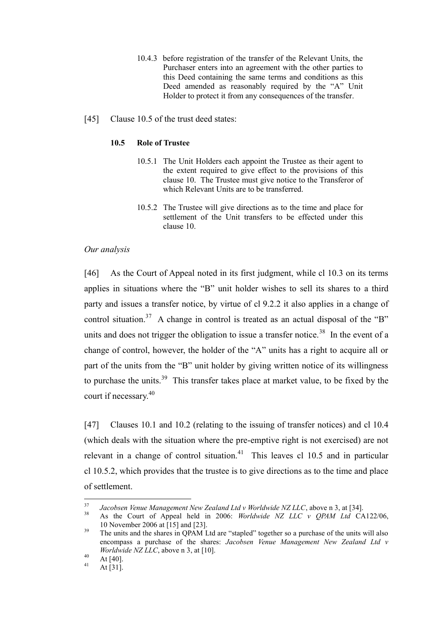- 10.4.3 before registration of the transfer of the Relevant Units, the Purchaser enters into an agreement with the other parties to this Deed containing the same terms and conditions as this Deed amended as reasonably required by the "A" Unit Holder to protect it from any consequences of the transfer.
- [45] Clause 10.5 of the trust deed states:

#### **10.5 Role of Trustee**

- 10.5.1 The Unit Holders each appoint the Trustee as their agent to the extent required to give effect to the provisions of this clause 10. The Trustee must give notice to the Transferor of which Relevant Units are to be transferred.
- 10.5.2 The Trustee will give directions as to the time and place for settlement of the Unit transfers to be effected under this clause 10.

#### *Our analysis*

<span id="page-14-0"></span>[46] As the Court of Appeal noted in its first judgment, while cl 10.3 on its terms applies in situations where the "B" unit holder wishes to sell its shares to a third party and issues a transfer notice, by virtue of cl 9.2.2 it also applies in a change of control situation.<sup>37</sup> A change in control is treated as an actual disposal of the "B" units and does not trigger the obligation to issue a transfer notice.<sup>38</sup> In the event of a change of control, however, the holder of the "A" units has a right to acquire all or part of the units from the "B" unit holder by giving written notice of its willingness to purchase the units.<sup>39</sup> This transfer takes place at market value, to be fixed by the court if necessary.<sup>40</sup>

[47] Clauses 10.1 and 10.2 (relating to the issuing of transfer notices) and cl 10.4 (which deals with the situation where the pre-emptive right is not exercised) are not relevant in a change of control situation.<sup>41</sup> This leaves cl 10.5 and in particular cl 10.5.2, which provides that the trustee is to give directions as to the time and place of settlement.

 $37$ <sup>37</sup> *Jacobsen Venue Management New Zealand Ltd v Worldwide NZ LLC*, above [n 3,](#page-2-1) at [34].

<sup>38</sup> As the Court of Appeal held in 2006: *Worldwide NZ LLC v QPAM Ltd* CA122/06, 10 November 2006 at [15] and [23].

<sup>&</sup>lt;sup>39</sup> The units and the shares in QPAM Ltd are "stapled" together so a purchase of the units will also encompass a purchase of the shares: *Jacobsen Venue Management New Zealand Ltd v Worldwide NZ LLC*, above n [3,](#page-2-1) at [10].

 $40$  At [40].

At  $[31]$ .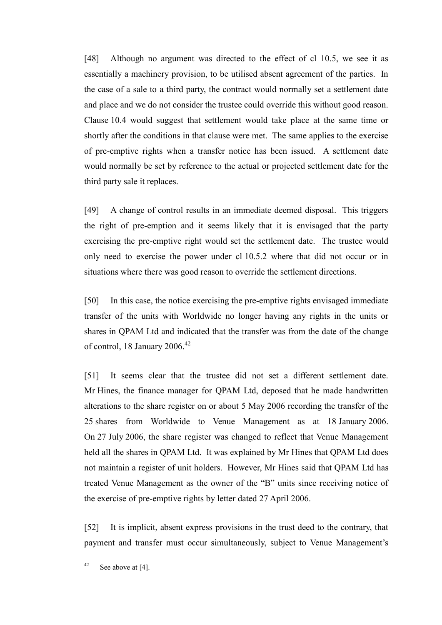[48] Although no argument was directed to the effect of cl 10.5, we see it as essentially a machinery provision, to be utilised absent agreement of the parties. In the case of a sale to a third party, the contract would normally set a settlement date and place and we do not consider the trustee could override this without good reason. Clause 10.4 would suggest that settlement would take place at the same time or shortly after the conditions in that clause were met. The same applies to the exercise of pre-emptive rights when a transfer notice has been issued. A settlement date would normally be set by reference to the actual or projected settlement date for the third party sale it replaces.

[49] A change of control results in an immediate deemed disposal. This triggers the right of pre-emption and it seems likely that it is envisaged that the party exercising the pre-emptive right would set the settlement date. The trustee would only need to exercise the power under cl 10.5.2 where that did not occur or in situations where there was good reason to override the settlement directions.

[50] In this case, the notice exercising the pre-emptive rights envisaged immediate transfer of the units with Worldwide no longer having any rights in the units or shares in QPAM Ltd and indicated that the transfer was from the date of the change of control, 18 January  $2006.<sup>42</sup>$ 

[51] It seems clear that the trustee did not set a different settlement date. Mr Hines, the finance manager for QPAM Ltd, deposed that he made handwritten alterations to the share register on or about 5 May 2006 recording the transfer of the 25 shares from Worldwide to Venue Management as at 18 January 2006. On 27 July 2006, the share register was changed to reflect that Venue Management held all the shares in QPAM Ltd. It was explained by Mr Hines that QPAM Ltd does not maintain a register of unit holders. However, Mr Hines said that QPAM Ltd has treated Venue Management as the owner of the "B" units since receiving notice of the exercise of pre-emptive rights by letter dated 27 April 2006.

[52] It is implicit, absent express provisions in the trust deed to the contrary, that payment and transfer must occur simultaneously, subject to Venue Management's

 $42$ See above a[t \[4\].](#page-1-2)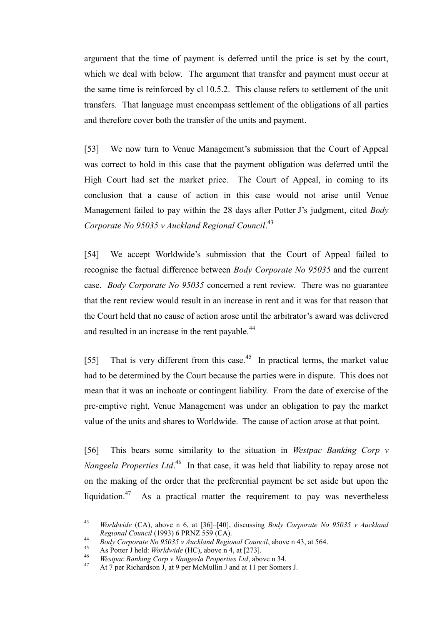argument that the time of payment is deferred until the price is set by the court, which we deal with below. The argument that transfer and payment must occur at the same time is reinforced by cl 10.5.2. This clause refers to settlement of the unit transfers. That language must encompass settlement of the obligations of all parties and therefore cover both the transfer of the units and payment.

[53] We now turn to Venue Management's submission that the Court of Appeal was correct to hold in this case that the payment obligation was deferred until the High Court had set the market price. The Court of Appeal, in coming to its conclusion that a cause of action in this case would not arise until Venue Management failed to pay within the 28 days after Potter J's judgment, cited *Body Corporate No 95035 v Auckland Regional Council*. 43

<span id="page-16-0"></span>[54] We accept Worldwide's submission that the Court of Appeal failed to recognise the factual difference between *Body Corporate No 95035* and the current case. *Body Corporate No 95035* concerned a rent review. There was no guarantee that the rent review would result in an increase in rent and it was for that reason that the Court held that no cause of action arose until the arbitrator's award was delivered and resulted in an increase in the rent payable.<sup>44</sup>

[55] That is very different from this case.<sup>45</sup> In practical terms, the market value had to be determined by the Court because the parties were in dispute. This does not mean that it was an inchoate or contingent liability. From the date of exercise of the pre-emptive right, Venue Management was under an obligation to pay the market value of the units and shares to Worldwide. The cause of action arose at that point.

[56] This bears some similarity to the situation in *Westpac Banking Corp v Nangeela Properties Ltd*.<sup>46</sup> In that case, it was held that liability to repay arose not on the making of the order that the preferential payment be set aside but upon the liquidation.<sup>47</sup> As a practical matter the requirement to pay was nevertheless

 $43$ <sup>43</sup> *Worldwide* (CA), above n [6,](#page-2-0) at [36]–[40], discussing *Body Corporate No 95035 v Auckland Regional Council* (1993) 6 PRNZ 559 (CA).

<sup>44</sup> *Body Corporate No 95035 v Auckland Regional Council*, above [n 43,](#page-16-0) at 564.

<sup>45</sup> As Potter J held: *Worldwide* (HC), above n [4,](#page-2-2) at [273].

<sup>46</sup> *Westpac Banking Corp v Nangeela Properties Ltd*, above n [34.](#page-11-1)

<sup>47</sup> At 7 per Richardson J, at 9 per McMullin J and at 11 per Somers J.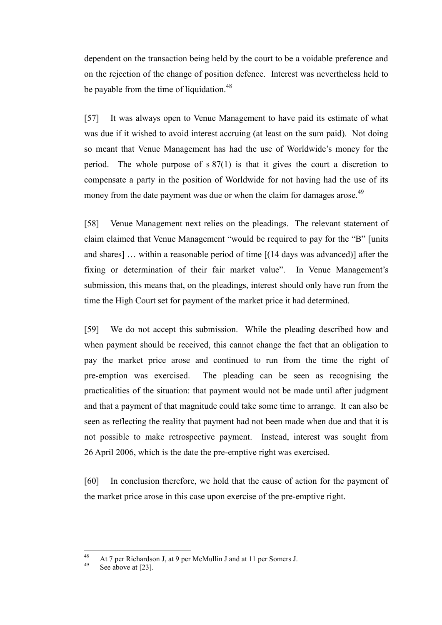dependent on the transaction being held by the court to be a voidable preference and on the rejection of the change of position defence. Interest was nevertheless held to be payable from the time of liquidation.<sup>48</sup>

[57] It was always open to Venue Management to have paid its estimate of what was due if it wished to avoid interest accruing (at least on the sum paid). Not doing so meant that Venue Management has had the use of Worldwide's money for the period. The whole purpose of s 87(1) is that it gives the court a discretion to compensate a party in the position of Worldwide for not having had the use of its money from the date payment was due or when the claim for damages arose.<sup>49</sup>

[58] Venue Management next relies on the pleadings. The relevant statement of claim claimed that Venue Management "would be required to pay for the "B" [units and shares] … within a reasonable period of time [(14 days was advanced)] after the fixing or determination of their fair market value". In Venue Management's submission, this means that, on the pleadings, interest should only have run from the time the High Court set for payment of the market price it had determined.

[59] We do not accept this submission. While the pleading described how and when payment should be received, this cannot change the fact that an obligation to pay the market price arose and continued to run from the time the right of pre-emption was exercised. The pleading can be seen as recognising the practicalities of the situation: that payment would not be made until after judgment and that a payment of that magnitude could take some time to arrange. It can also be seen as reflecting the reality that payment had not been made when due and that it is not possible to make retrospective payment. Instead, interest was sought from 26 April 2006, which is the date the pre-emptive right was exercised.

[60] In conclusion therefore, we hold that the cause of action for the payment of the market price arose in this case upon exercise of the pre-emptive right.

<sup>48</sup> 48 At 7 per Richardson J, at 9 per McMullin J and at 11 per Somers J.

See above a[t \[23\].](#page-7-0)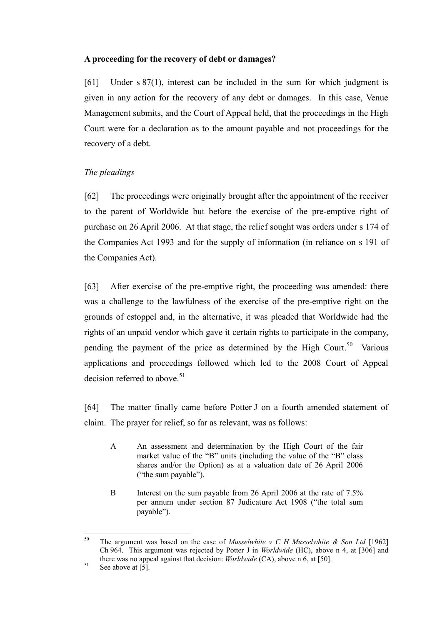# **A proceeding for the recovery of debt or damages?**

<span id="page-18-0"></span>[61] Under s 87(1), interest can be included in the sum for which judgment is given in any action for the recovery of any debt or damages. In this case, Venue Management submits, and the Court of Appeal held, that the proceedings in the High Court were for a declaration as to the amount payable and not proceedings for the recovery of a debt.

# *The pleadings*

<span id="page-18-1"></span>[62] The proceedings were originally brought after the appointment of the receiver to the parent of Worldwide but before the exercise of the pre-emptive right of purchase on 26 April 2006. At that stage, the relief sought was orders under s 174 of the Companies Act 1993 and for the supply of information (in reliance on s 191 of the Companies Act).

[63] After exercise of the pre-emptive right, the proceeding was amended: there was a challenge to the lawfulness of the exercise of the pre-emptive right on the grounds of estoppel and, in the alternative, it was pleaded that Worldwide had the rights of an unpaid vendor which gave it certain rights to participate in the company, pending the payment of the price as determined by the High Court.<sup>50</sup> Various applications and proceedings followed which led to the 2008 Court of Appeal decision referred to above.<sup>51</sup>

[64] The matter finally came before Potter J on a fourth amended statement of claim. The prayer for relief, so far as relevant, was as follows:

- A An assessment and determination by the High Court of the fair market value of the "B" units (including the value of the "B" class shares and/or the Option) as at a valuation date of 26 April 2006 ("the sum payable").
- B Interest on the sum payable from 26 April 2006 at the rate of 7.5% per annum under section 87 Judicature Act 1908 ("the total sum payable").

<sup>50</sup> <sup>50</sup> The argument was based on the case of *Musselwhite v C H Musselwhite & Son Ltd* [1962] Ch 964. This argument was rejected by Potter J in *Worldwide* (HC), above n [4,](#page-2-2) at [306] and there was no appeal against that decision: *Worldwide* (CA), above n [6,](#page-2-0) at [50].

 $51$  See above at  $\begin{bmatrix} 5 \end{bmatrix}$ .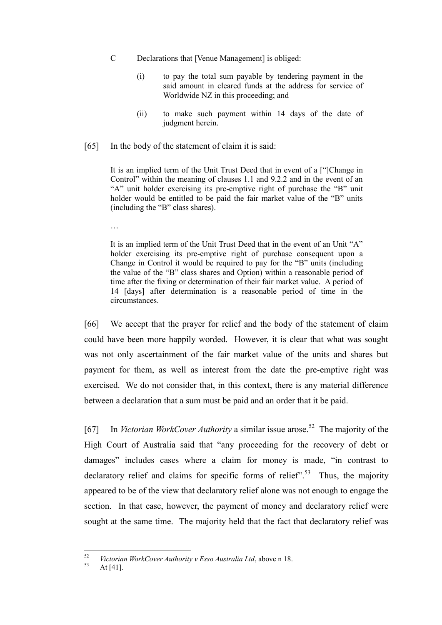- C Declarations that [Venue Management] is obliged:
	- (i) to pay the total sum payable by tendering payment in the said amount in cleared funds at the address for service of Worldwide NZ in this proceeding; and
	- (ii) to make such payment within 14 days of the date of judgment herein.
- [65] In the body of the statement of claim it is said:

It is an implied term of the Unit Trust Deed that in event of a ["]Change in Control" within the meaning of clauses 1.1 and 9.2.2 and in the event of an "A" unit holder exercising its pre-emptive right of purchase the "B" unit holder would be entitled to be paid the fair market value of the "B" units (including the "B" class shares).

It is an implied term of the Unit Trust Deed that in the event of an Unit "A" holder exercising its pre-emptive right of purchase consequent upon a Change in Control it would be required to pay for the "B" units (including the value of the "B" class shares and Option) within a reasonable period of time after the fixing or determination of their fair market value. A period of 14 [days] after determination is a reasonable period of time in the circumstances.

[66] We accept that the prayer for relief and the body of the statement of claim could have been more happily worded. However, it is clear that what was sought was not only ascertainment of the fair market value of the units and shares but payment for them, as well as interest from the date the pre-emptive right was exercised. We do not consider that, in this context, there is any material difference between a declaration that a sum must be paid and an order that it be paid.

[67] In *Victorian WorkCover Authority* a similar issue arose.<sup>52</sup> The majority of the High Court of Australia said that "any proceeding for the recovery of debt or damages" includes cases where a claim for money is made, "in contrast to declaratory relief and claims for specific forms of relief".<sup>53</sup> Thus, the majority appeared to be of the view that declaratory relief alone was not enough to engage the section. In that case, however, the payment of money and declaratory relief were sought at the same time. The majority held that the fact that declaratory relief was

…

 $52$ <sup>52</sup> *Victorian WorkCover Authority v Esso Australia Ltd*, above n [18.](#page-7-1)

At  $[41]$ .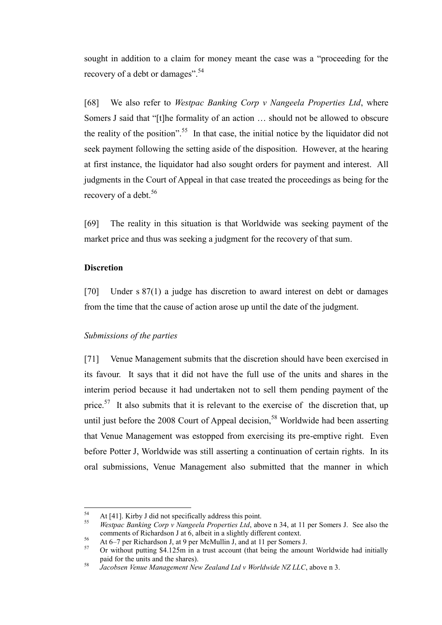sought in addition to a claim for money meant the case was a "proceeding for the recovery of a debt or damages".<sup>54</sup>

[68] We also refer to *Westpac Banking Corp v Nangeela Properties Ltd*, where Somers J said that "[t]he formality of an action … should not be allowed to obscure the reality of the position".<sup>55</sup> In that case, the initial notice by the liquidator did not seek payment following the setting aside of the disposition. However, at the hearing at first instance, the liquidator had also sought orders for payment and interest. All judgments in the Court of Appeal in that case treated the proceedings as being for the recovery of a debt.<sup>56</sup>

[69] The reality in this situation is that Worldwide was seeking payment of the market price and thus was seeking a judgment for the recovery of that sum.

### **Discretion**

<span id="page-20-0"></span>[70] Under s 87(1) a judge has discretion to award interest on debt or damages from the time that the cause of action arose up until the date of the judgment.

## *Submissions of the parties*

<span id="page-20-1"></span>[71] Venue Management submits that the discretion should have been exercised in its favour. It says that it did not have the full use of the units and shares in the interim period because it had undertaken not to sell them pending payment of the price.<sup>57</sup> It also submits that it is relevant to the exercise of the discretion that, up until just before the  $2008$  Court of Appeal decision,<sup>58</sup> Worldwide had been asserting that Venue Management was estopped from exercising its pre-emptive right. Even before Potter J, Worldwide was still asserting a continuation of certain rights. In its oral submissions, Venue Management also submitted that the manner in which

<sup>54</sup> <sup>54</sup> At [41]. Kirby J did not specifically address this point.<br> $\frac{55}{2}$  Westness *Banking Corp v Managels Duopauties Ltd* abo

<sup>55</sup> *Westpac Banking Corp v Nangeela Properties Ltd*, above n [34,](#page-11-1) at 11 per Somers J. See also the comments of Richardson J at 6, albeit in a slightly different context.

<sup>56</sup> At 6–7 per Richardson J, at 9 per McMullin J, and at 11 per Somers J.<br> $57$  Or without putting \$4,125m in a trust secount (that being the amount

<sup>57</sup> Or without putting \$4.125m in a trust account (that being the amount Worldwide had initially paid for the units and the shares).

<sup>58</sup> *Jacobsen Venue Management New Zealand Ltd v Worldwide NZ LLC*, above [n 3.](#page-2-1)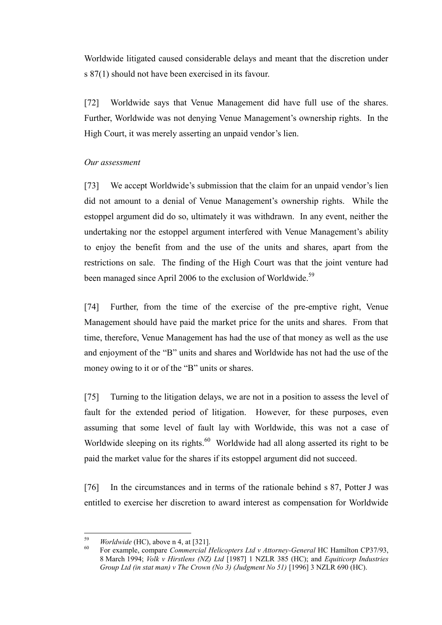Worldwide litigated caused considerable delays and meant that the discretion under s 87(1) should not have been exercised in its favour.

[72] Worldwide says that Venue Management did have full use of the shares. Further, Worldwide was not denying Venue Management's ownership rights. In the High Court, it was merely asserting an unpaid vendor's lien.

# *Our assessment*

<span id="page-21-0"></span>[73] We accept Worldwide's submission that the claim for an unpaid vendor's lien did not amount to a denial of Venue Management's ownership rights. While the estoppel argument did do so, ultimately it was withdrawn. In any event, neither the undertaking nor the estoppel argument interfered with Venue Management's ability to enjoy the benefit from and the use of the units and shares, apart from the restrictions on sale. The finding of the High Court was that the joint venture had been managed since April 2006 to the exclusion of Worldwide.<sup>59</sup>

[74] Further, from the time of the exercise of the pre-emptive right, Venue Management should have paid the market price for the units and shares. From that time, therefore, Venue Management has had the use of that money as well as the use and enjoyment of the "B" units and shares and Worldwide has not had the use of the money owing to it or of the "B" units or shares.

[75] Turning to the litigation delays, we are not in a position to assess the level of fault for the extended period of litigation. However, for these purposes, even assuming that some level of fault lay with Worldwide, this was not a case of Worldwide sleeping on its rights.<sup>60</sup> Worldwide had all along asserted its right to be paid the market value for the shares if its estoppel argument did not succeed.

[76] In the circumstances and in terms of the rationale behind s 87, Potter J was entitled to exercise her discretion to award interest as compensation for Worldwide

<sup>59</sup> *Worldwide* (HC), above n [4,](#page-2-2) at [321].

<sup>60</sup> For example, compare *Commercial Helicopters Ltd v Attorney-General* HC Hamilton CP37/93, 8 March 1994; *Volk v Hirstlens (NZ) Ltd* [1987] 1 NZLR 385 (HC); and *Equiticorp Industries Group Ltd (in stat man) v The Crown (No 3) (Judgment No 51)* [1996] 3 NZLR 690 (HC).